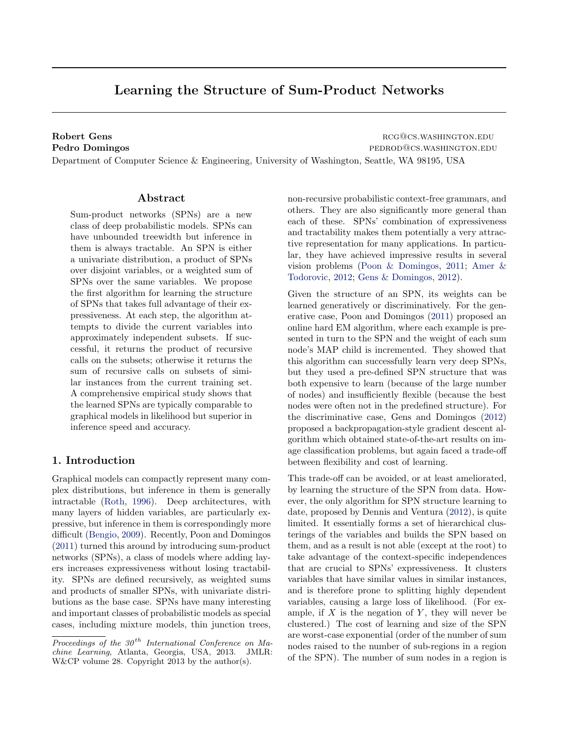# <span id="page-0-0"></span>Learning the Structure of Sum-Product Networks

Robert Gens **Robert Gens** region of the contract of the contract of the contract of the contract of the contract of the contract of the contract of the contract of the contract of the contract of the contract of the contra Pedro Domingos **pedro Domingos** pedrodos.washington.edu

Department of Computer Science & Engineering, University of Washington, Seattle, WA 98195, USA

# Abstract

Sum-product networks (SPNs) are a new class of deep probabilistic models. SPNs can have unbounded treewidth but inference in them is always tractable. An SPN is either a univariate distribution, a product of SPNs over disjoint variables, or a weighted sum of SPNs over the same variables. We propose the first algorithm for learning the structure of SPNs that takes full advantage of their expressiveness. At each step, the algorithm attempts to divide the current variables into approximately independent subsets. If successful, it returns the product of recursive calls on the subsets; otherwise it returns the sum of recursive calls on subsets of similar instances from the current training set. A comprehensive empirical study shows that the learned SPNs are typically comparable to graphical models in likelihood but superior in inference speed and accuracy.

# 1. Introduction

Graphical models can compactly represent many complex distributions, but inference in them is generally intractable [\(Roth,](#page-6-0) [1996\)](#page-6-0). Deep architectures, with many layers of hidden variables, are particularly expressive, but inference in them is correspondingly more difficult [\(Bengio,](#page-6-0) [2009\)](#page-6-0). Recently, Poon and Domingos [\(2011\)](#page-6-0) turned this around by introducing sum-product networks (SPNs), a class of models where adding layers increases expressiveness without losing tractability. SPNs are defined recursively, as weighted sums and products of smaller SPNs, with univariate distributions as the base case. SPNs have many interesting and important classes of probabilistic models as special cases, including mixture models, thin junction trees, non-recursive probabilistic context-free grammars, and others. They are also significantly more general than each of these. SPNs' combination of expressiveness and tractability makes them potentially a very attractive representation for many applications. In particular, they have achieved impressive results in several vision problems [\(Poon & Domingos,](#page-6-0) [2011;](#page-6-0) [Amer &](#page-6-0) [Todorovic,](#page-6-0) [2012;](#page-6-0) [Gens & Domingos,](#page-6-0) [2012\)](#page-6-0).

Given the structure of an SPN, its weights can be learned generatively or discriminatively. For the generative case, Poon and Domingos [\(2011\)](#page-6-0) proposed an online hard EM algorithm, where each example is presented in turn to the SPN and the weight of each sum node's MAP child is incremented. They showed that this algorithm can successfully learn very deep SPNs, but they used a pre-defined SPN structure that was both expensive to learn (because of the large number of nodes) and insufficiently flexible (because the best nodes were often not in the predefined structure). For the discriminative case, Gens and Domingos [\(2012\)](#page-6-0) proposed a backpropagation-style gradient descent algorithm which obtained state-of-the-art results on image classification problems, but again faced a trade-off between flexibility and cost of learning.

This trade-off can be avoided, or at least ameliorated, by learning the structure of the SPN from data. However, the only algorithm for SPN structure learning to date, proposed by Dennis and Ventura [\(2012\)](#page-6-0), is quite limited. It essentially forms a set of hierarchical clusterings of the variables and builds the SPN based on them, and as a result is not able (except at the root) to take advantage of the context-specific independences that are crucial to SPNs' expressiveness. It clusters variables that have similar values in similar instances, and is therefore prone to splitting highly dependent variables, causing a large loss of likelihood. (For example, if  $X$  is the negation of  $Y$ , they will never be clustered.) The cost of learning and size of the SPN are worst-case exponential (order of the number of sum nodes raised to the number of sub-regions in a region of the SPN). The number of sum nodes in a region is

Proceedings of the  $30<sup>th</sup>$  International Conference on Machine Learning, Atlanta, Georgia, USA, 2013. JMLR: W&CP volume 28. Copyright 2013 by the author(s).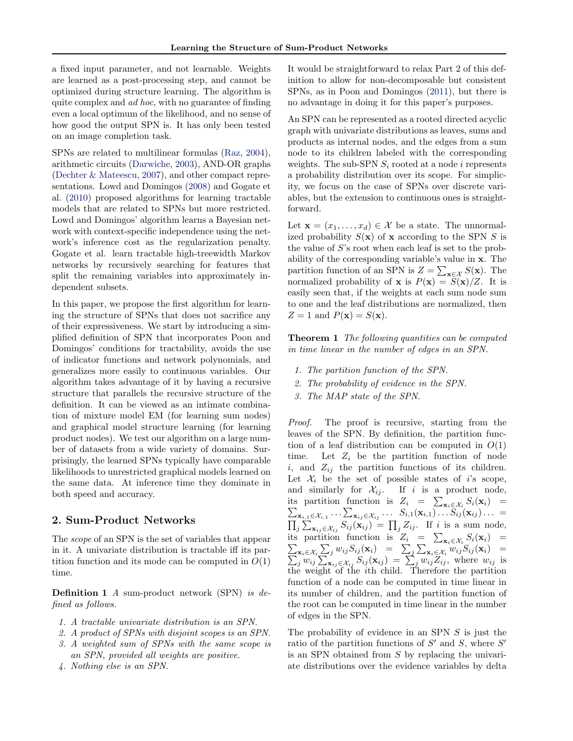a fixed input parameter, and not learnable. Weights are learned as a post-processing step, and cannot be optimized during structure learning. The algorithm is quite complex and ad hoc, with no guarantee of finding even a local optimum of the likelihood, and no sense of how good the output SPN is. It has only been tested on an image completion task.

SPNs are related to multilinear formulas [\(Raz,](#page-6-0) [2004\)](#page-6-0), arithmetic circuits [\(Darwiche,](#page-6-0) [2003\)](#page-6-0), AND-OR graphs [\(Dechter & Mateescu,](#page-6-0) [2007\)](#page-6-0), and other compact representations. Lowd and Domingos [\(2008\)](#page-6-0) and Gogate et al. [\(2010\)](#page-6-0) proposed algorithms for learning tractable models that are related to SPNs but more restricted. Lowd and Domingos' algorithm learns a Bayesian network with context-specific independence using the network's inference cost as the regularization penalty. Gogate et al. learn tractable high-treewidth Markov networks by recursively searching for features that split the remaining variables into approximately independent subsets.

In this paper, we propose the first algorithm for learning the structure of SPNs that does not sacrifice any of their expressiveness. We start by introducing a simplified definition of SPN that incorporates Poon and Domingos' conditions for tractability, avoids the use of indicator functions and network polynomials, and generalizes more easily to continuous variables. Our algorithm takes advantage of it by having a recursive structure that parallels the recursive structure of the definition. It can be viewed as an intimate combination of mixture model EM (for learning sum nodes) and graphical model structure learning (for learning product nodes). We test our algorithm on a large number of datasets from a wide variety of domains. Surprisingly, the learned SPNs typically have comparable likelihoods to unrestricted graphical models learned on the same data. At inference time they dominate in both speed and accuracy.

# 2. Sum-Product Networks

The scope of an SPN is the set of variables that appear in it. A univariate distribution is tractable iff its partition function and its mode can be computed in  $O(1)$ time.

Definition 1 A sum-product network (SPN) is defined as follows.

- 1. A tractable univariate distribution is an SPN.
- 2. A product of SPNs with disjoint scopes is an SPN.
- 3. A weighted sum of SPNs with the same scope is an SPN, provided all weights are positive.
- 4. Nothing else is an SPN.

It would be straightforward to relax Part 2 of this definition to allow for non-decomposable but consistent SPNs, as in Poon and Domingos [\(2011\)](#page-6-0), but there is no advantage in doing it for this paper's purposes.

An SPN can be represented as a rooted directed acyclic graph with univariate distributions as leaves, sums and products as internal nodes, and the edges from a sum node to its children labeled with the corresponding weights. The sub-SPN  $S_i$  rooted at a node i represents a probability distribution over its scope. For simplicity, we focus on the case of SPNs over discrete variables, but the extension to continuous ones is straightforward.

Let  $\mathbf{x} = (x_1, \ldots, x_d) \in \mathcal{X}$  be a state. The unnormalized probability  $S(\mathbf{x})$  of **x** according to the SPN S is the value of S's root when each leaf is set to the probability of the corresponding variable's value in x. The partition function of an SPN is  $Z = \sum_{\mathbf{x} \in \mathcal{X}} S(\mathbf{x})$ . The normalized probability of **x** is  $P(\mathbf{x}) = S(\mathbf{x})/Z$ . It is easily seen that, if the weights at each sum node sum to one and the leaf distributions are normalized, then  $Z = 1$  and  $P(\mathbf{x}) = S(\mathbf{x})$ .

**Theorem 1** The following quantities can be computed in time linear in the number of edges in an SPN.

- 1. The partition function of the SPN.
- 2. The probability of evidence in the SPN.
- 3. The MAP state of the SPN.

Proof. The proof is recursive, starting from the leaves of the SPN. By definition, the partition function of a leaf distribution can be computed in  $O(1)$ time. Let  $Z_i$  be the partition function of node i, and  $Z_{ij}$  the partition functions of its children. Let  $\mathcal{X}_i$  be the set of possible states of i's scope, and similarly for  $\mathcal{X}_{ij}$ . If i is a product node, its partition function is  $Z_i = \sum_{\mathbf{x}_i \in \mathcal{X}_i} S_i(\mathbf{x}_i) =$ <br> $\sum_{\mathbf{x}_i \in \mathcal{X}_i} \cdots \sum_{\mathbf{x}_i \in \mathcal{X}_i} \cdots \cdots S_{i,1}(\mathbf{x}_{i,1}) \cdots S_{ij}(\mathbf{x}_{ij}) \cdots =$  ${\bf x}_{i,1} \in \mathcal{X}_{i,1} \cdots \sum_{\mathbf{x}_{ij} \in \mathcal{X}_{ij}} \ldots \; \; S_{i,1}(\mathbf{x}_{i,1}) \ldots S_{ij}(\mathbf{x}_{ij}) \ldots \; =$  $\prod_j \sum_{\mathbf{x}_{ij} \in \mathcal{X}_{ij}} S_{ij}(\mathbf{x}_{ij}) = \prod_j Z_{ij}$ . If *i* is a sum node, its partition function is  $Z_i = \sum_{\mathbf{x}_i \in \mathcal{X}_i} S_i(\mathbf{x}_i) =$ <br> $\sum_{\mathbf{x}_i \in \mathcal{X}_i} \sum_i w_{ij} S_{ij}(\mathbf{x}_i) = \sum_i \sum_{\mathbf{x}_i \in \mathcal{X}_i} w_{ij} S_{ij}(\mathbf{x}_i) =$  $\sum_{\mathbf{x}_i \in \mathcal{X}_i} \sum_j w_{ij} S_{ij}(\mathbf{x}_i) = \sum_j \sum_{\mathbf{x}_i \in \mathcal{X}_i} w_{ij} S_{ij}(\mathbf{x}_i) =$ <br> $\sum_i w_{ij} \sum_{\mathbf{x}_i \in \mathcal{X}_i} S_{ij}(\mathbf{x}_i) = \sum_i w_{ij} Z_{ij}$ , where  $w_{ij}$  is  $\sum_j w_{ij} \sum_{x_{ij} \in \mathcal{X}_{ij}} S_{ij}(\mathbf{x}_{ij}) = \sum_j w_{ij} Z_{ij}$ , where  $w_{ij}$  is the weight of the ith child. Therefore the partition function of a node can be computed in time linear in its number of children, and the partition function of the root can be computed in time linear in the number of edges in the SPN.

The probability of evidence in an SPN S is just the ratio of the partition functions of  $S'$  and  $S$ , where  $S'$ is an SPN obtained from S by replacing the univariate distributions over the evidence variables by delta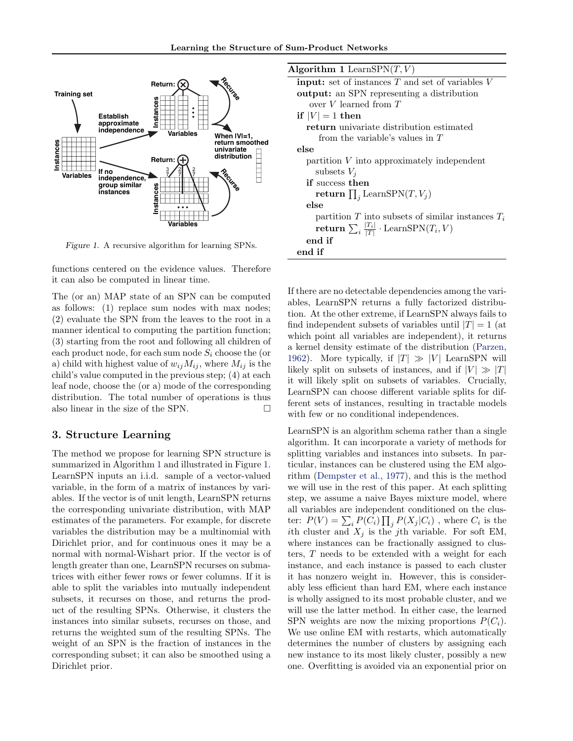

Figure 1. A recursive algorithm for learning SPNs.

functions centered on the evidence values. Therefore it can also be computed in linear time.

The (or an) MAP state of an SPN can be computed as follows: (1) replace sum nodes with max nodes; (2) evaluate the SPN from the leaves to the root in a manner identical to computing the partition function; (3) starting from the root and following all children of each product node, for each sum node  $S_i$  choose the (or a) child with highest value of  $w_{ij}M_{ij}$ , where  $M_{ij}$  is the child's value computed in the previous step; (4) at each leaf node, choose the (or a) mode of the corresponding distribution. The total number of operations is thus also linear in the size of the SPN.  $\square$ 

# 3. Structure Learning

The method we propose for learning SPN structure is summarized in Algorithm 1 and illustrated in Figure 1. LearnSPN inputs an i.i.d. sample of a vector-valued variable, in the form of a matrix of instances by variables. If the vector is of unit length, LearnSPN returns the corresponding univariate distribution, with MAP estimates of the parameters. For example, for discrete variables the distribution may be a multinomial with Dirichlet prior, and for continuous ones it may be a normal with normal-Wishart prior. If the vector is of length greater than one, LearnSPN recurses on submatrices with either fewer rows or fewer columns. If it is able to split the variables into mutually independent subsets, it recurses on those, and returns the product of the resulting SPNs. Otherwise, it clusters the instances into similar subsets, recurses on those, and returns the weighted sum of the resulting SPNs. The weight of an SPN is the fraction of instances in the corresponding subset; it can also be smoothed using a Dirichlet prior.

| Algorithm 1 LearnSPN $(T, V)$                                   |
|-----------------------------------------------------------------|
| <b>input:</b> set of instances $T$ and set of variables $V$     |
| <b>output:</b> an SPN representing a distribution               |
| over $V$ learned from $T$                                       |
| if $ V =1$ then                                                 |
| <b>return</b> univariate distribution estimated                 |
| from the variable's values in $T$                               |
| else                                                            |
| partition $V$ into approximately independent                    |
| subsets $V_i$                                                   |
| <b>if</b> success then                                          |
| return $\prod_i$ LearnSPN $(T, V_j)$                            |
| else                                                            |
| partition T into subsets of similar instances $T_i$             |
| return $\sum_i \frac{ T_i }{ T } \cdot \text{LearnSPN}(T_i, V)$ |
| end if                                                          |
| end if                                                          |
|                                                                 |

If there are no detectable dependencies among the variables, LearnSPN returns a fully factorized distribution. At the other extreme, if LearnSPN always fails to find independent subsets of variables until  $|T| = 1$  (at which point all variables are independent), it returns a kernel density estimate of the distribution [\(Parzen,](#page-6-0) [1962\)](#page-6-0). More typically, if  $|T| \gg |V|$  LearnSPN will likely split on subsets of instances, and if  $|V| \gg |T|$ it will likely split on subsets of variables. Crucially, LearnSPN can choose different variable splits for different sets of instances, resulting in tractable models with few or no conditional independences.

LearnSPN is an algorithm schema rather than a single algorithm. It can incorporate a variety of methods for splitting variables and instances into subsets. In particular, instances can be clustered using the EM algorithm [\(Dempster et al.,](#page-6-0) [1977\)](#page-6-0), and this is the method we will use in the rest of this paper. At each splitting step, we assume a naive Bayes mixture model, where all variables are independent conditioned on the cluster:  $P(V) = \sum_i P(C_i) \prod_j P(X_j|C_i)$ , where  $C_i$  is the ith cluster and  $X_j$  is the j<sup>th</sup> variable. For soft EM, where instances can be fractionally assigned to clusters, T needs to be extended with a weight for each instance, and each instance is passed to each cluster it has nonzero weight in. However, this is considerably less efficient than hard EM, where each instance is wholly assigned to its most probable cluster, and we will use the latter method. In either case, the learned SPN weights are now the mixing proportions  $P(C_i)$ . We use online EM with restarts, which automatically determines the number of clusters by assigning each new instance to its most likely cluster, possibly a new one. Overfitting is avoided via an exponential prior on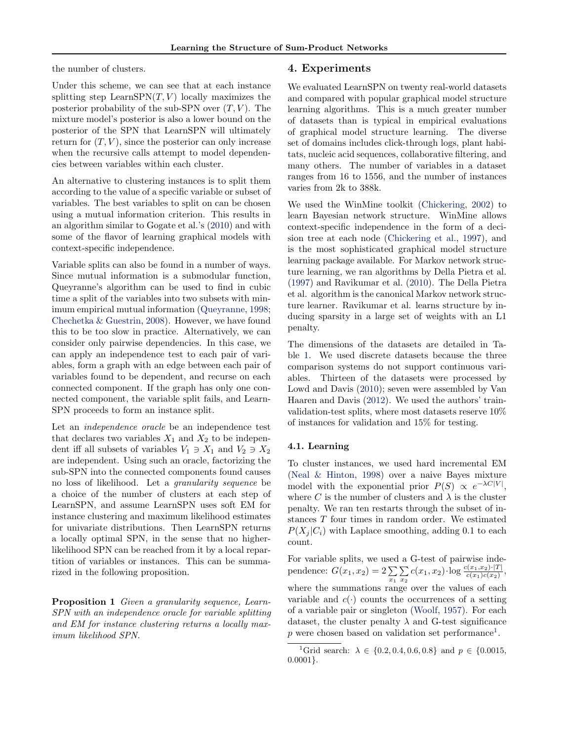the number of clusters.

Under this scheme, we can see that at each instance splitting step LearnSPN $(T, V)$  locally maximizes the posterior probability of the sub-SPN over  $(T, V)$ . The mixture model's posterior is also a lower bound on the posterior of the SPN that LearnSPN will ultimately return for  $(T, V)$ , since the posterior can only increase when the recursive calls attempt to model dependencies between variables within each cluster.

An alternative to clustering instances is to split them according to the value of a specific variable or subset of variables. The best variables to split on can be chosen using a mutual information criterion. This results in an algorithm similar to Gogate et al.'s [\(2010\)](#page-6-0) and with some of the flavor of learning graphical models with context-specific independence.

Variable splits can also be found in a number of ways. Since mutual information is a submodular function, Queyranne's algorithm can be used to find in cubic time a split of the variables into two subsets with minimum empirical mutual information [\(Queyranne,](#page-6-0) [1998;](#page-6-0) [Chechetka & Guestrin,](#page-6-0) [2008\)](#page-6-0). However, we have found this to be too slow in practice. Alternatively, we can consider only pairwise dependencies. In this case, we can apply an independence test to each pair of variables, form a graph with an edge between each pair of variables found to be dependent, and recurse on each connected component. If the graph has only one connected component, the variable split fails, and Learn-SPN proceeds to form an instance split.

Let an independence oracle be an independence test that declares two variables  $X_1$  and  $X_2$  to be independent iff all subsets of variables  $V_1 \ni X_1$  and  $V_2 \ni X_2$ are independent. Using such an oracle, factorizing the sub-SPN into the connected components found causes no loss of likelihood. Let a granularity sequence be a choice of the number of clusters at each step of LearnSPN, and assume LearnSPN uses soft EM for instance clustering and maximum likelihood estimates for univariate distributions. Then LearnSPN returns a locally optimal SPN, in the sense that no higherlikelihood SPN can be reached from it by a local repartition of variables or instances. This can be summarized in the following proposition.

Proposition 1 Given a granularity sequence, Learn-SPN with an independence oracle for variable splitting and EM for instance clustering returns a locally maximum likelihood SPN.

### 4. Experiments

We evaluated LearnSPN on twenty real-world datasets and compared with popular graphical model structure learning algorithms. This is a much greater number of datasets than is typical in empirical evaluations of graphical model structure learning. The diverse set of domains includes click-through logs, plant habitats, nucleic acid sequences, collaborative filtering, and many others. The number of variables in a dataset ranges from 16 to 1556, and the number of instances varies from 2k to 388k.

We used the WinMine toolkit [\(Chickering,](#page-6-0) [2002\)](#page-6-0) to learn Bayesian network structure. WinMine allows context-specific independence in the form of a decision tree at each node [\(Chickering et al.,](#page-6-0) [1997\)](#page-6-0), and is the most sophisticated graphical model structure learning package available. For Markov network structure learning, we ran algorithms by Della Pietra et al. [\(1997\)](#page-6-0) and Ravikumar et al. [\(2010\)](#page-6-0). The Della Pietra et al. algorithm is the canonical Markov network structure learner. Ravikumar et al. learns structure by inducing sparsity in a large set of weights with an L1 penalty.

The dimensions of the datasets are detailed in Table [1.](#page-4-0) We used discrete datasets because the three comparison systems do not support continuous variables. Thirteen of the datasets were processed by Lowd and Davis [\(2010\)](#page-6-0); seven were assembled by Van Haaren and Davis [\(2012\)](#page-6-0). We used the authors' trainvalidation-test splits, where most datasets reserve 10% of instances for validation and 15% for testing.

### 4.1. Learning

To cluster instances, we used hard incremental EM [\(Neal & Hinton,](#page-6-0) [1998\)](#page-6-0) over a naive Bayes mixture model with the exponential prior  $P(S) \propto e^{-\lambda C|V|}$ , where C is the number of clusters and  $\lambda$  is the cluster penalty. We ran ten restarts through the subset of instances T four times in random order. We estimated  $P(X_i | C_i)$  with Laplace smoothing, adding 0.1 to each count.

For variable splits, we used a G-test of pairwise independence:  $G(x_1, x_2) = 2\sum_{x_1}$ P  $\sum_{x_2} c(x_1, x_2) \cdot \log \frac{c(x_1, x_2) \cdot |T|}{c(x_1)c(x_2)},$ where the summations range over the values of each variable and  $c(\cdot)$  counts the occurrences of a setting of a variable pair or singleton [\(Woolf,](#page-6-0) [1957\)](#page-6-0). For each dataset, the cluster penalty  $\lambda$  and G-test significance  $p$  were chosen based on validation set performance<sup>[1](#page-0-0)</sup>.

<sup>&</sup>lt;sup>1</sup>Grid search:  $\lambda \in \{0.2, 0.4, 0.6, 0.8\}$  and  $p \in \{0.0015,$ 0.0001}.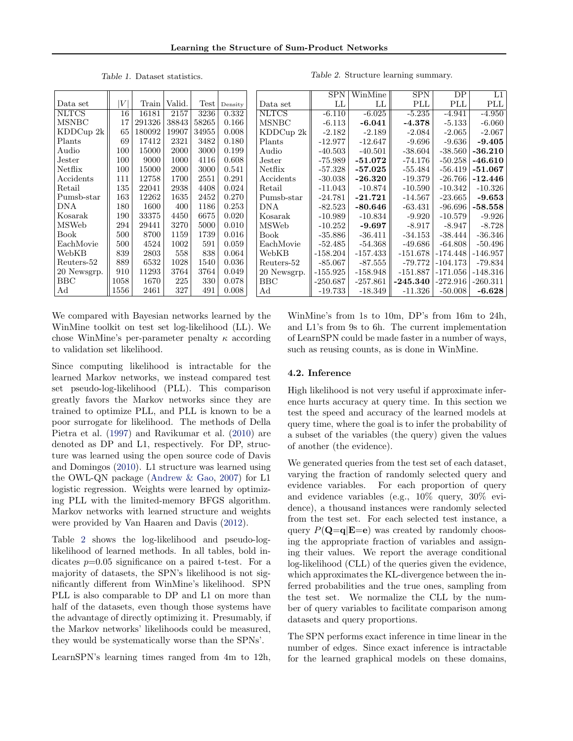Table 1. Dataset statistics.

Table 2. Structure learning summary.

<span id="page-4-0"></span>

| Data set     | V    | Train  | Valid. | <b>Test</b> | Density | Γ |
|--------------|------|--------|--------|-------------|---------|---|
| <b>NLTCS</b> | 16   | 16181  | 2157   | 3236        | 0.332   | Þ |
| MSNBC        | 17   | 291326 | 38843  | 58265       | 0.166   | N |
| KDDCup 2k    | 65   | 180092 | 19907  | 34955       | 0.008   | F |
| Plants       | 69   | 17412  | 2321   | 3482        | 0.180   | F |
| Audio        | 100  | 15000  | 2000   | 3000        | 0.199   | A |
| Jester       | 100  | 9000   | 1000   | 4116        | 0.608   | J |
| Netflix      | 100  | 15000  | 2000   | 3000        | 0.541   | Þ |
| Accidents    | 111  | 12758  | 1700   | 2551        | 0.291   | A |
| Retail       | 135  | 22041  | 2938   | 4408        | 0.024   | F |
| Pumsb-star   | 163  | 12262  | 1635   | 2452        | 0.270   | F |
| DNA.         | 180  | 1600   | 400    | 1186        | 0.253   | Γ |
| Kosarak      | 190  | 33375  | 4450   | 6675        | 0.020   | F |
| MSWeb        | 294  | 29441  | 3270   | 5000        | 0.010   | N |
| Book         | 500  | 8700   | 1159   | 1739        | 0.016   | F |
| EachMovie    | 500  | 4524   | 1002   | 591         | 0.059   | F |
| WebKB        | 839  | 2803   | 558    | 838         | 0.064   | V |
| Reuters-52   | 889  | 6532   | 1028   | 1540        | 0.036   | F |
| 20 Newsgrp.  | 910  | 11293  | 3764   | 3764        | 0.049   | 2 |
| BBC          | 1058 | 1670   | 225    | 330         | 0.078   | F |
| Αd           | 1556 | 2461   | 327    | 491         | 0.008   | A |

SPN | WinMine || SPN || DP || L1 Data set  $\parallel$  LL  $\parallel$  LL  $\parallel$  PLL PLL PLL NLTCS  $|| -6.110 || -6.025 || -5.235 || -4.941 || -4.950$ MSNBC  $|| -6.113 || -6.041 || -4.378 || -5.133 || -6.060$  $\text{KDDCup } 2 \text{k} \parallel -2.182 \mid -2.189 \parallel -2.084 \mid -2.065 \mid -2.067 \mid$ Plants  $\parallel$  -12.977  $\parallel$  -12.647  $\parallel$  -9.696  $\parallel$  -9.636  $\parallel$  -9.405 Audio  $\parallel$  -40.503  $\parallel$  -40.501  $\parallel$  -38.604  $\parallel$  -38.560  $\mid$  -**36.210** Fester  $\parallel$  -75.989 | -51.072 || -74.176 | -50.258 | -46.610 Netflix  $\parallel$  -57.328  $\mid$  -**57.025**  $\parallel$  -55.484  $\mid$  -56.419  $\mid$  **-51.067**  $\text{Accidents} \quad \parallel \text{ -30.038 } \mid \text{ -26.320 } \parallel \text{ -19.379 } \mid \text{ -26.766 } \mid \textbf{-12.446}$ Retail || -11.043 || -10.874 || -10.590 || -10.342 || -10.326  $\rm{Pumsb-star} \parallel -24.781 \mid -21.721 \parallel \mid -14.567 \mid -23.665 \mid -9.653 \mid$ DNA  $\parallel$  -82.523  $\mid$  -80.646  $\parallel$  -63.431  $\mid$  -96.696  $\mid$  -58.558  $\text{MSWeb} \begin{array}{|c|c|c|c|c|c|} \hline -10.989 & -10.834 & -9.920 & -10.579 & -9.926 \ \hline -10.252 & \textbf{ -9.697} & & -8.917 & -8.947 & -8.728 \ \hline \end{array}$  $-10.252$   $-9.697$   $-8.917$   $-8.947$ Book -35.886 -36.411 -34.153 -38.444 -36.346 EachMovie  $\parallel$  -52.485  $-54.368$   $\parallel$  -49.686 -64.808 -50.496 WebKB ||-158.204 || -157.433 || -151.678 | -174.448 | -146.957 Reuters-52 || -85.067| -87.555|| -79.772|-104.173| -79.834 20 Newsgrp.  $\parallel$  -155.925  $\parallel$  -158.948  $\parallel$  -151.887  $\mid$  -171.056  $\mid$  -148.316 BBC  $\parallel$  -250.687  $\parallel$  -257.861  $\parallel$  **-245.340**  $\mid$  -272.916  $\mid$  -260.311  $\rm{Ad} \qquad \quad \parallel \text{ -19.733} \mid \text{ -18.349} \parallel \text{ -11.326} \mid \text{ -50.008} \mid \text{ -6.628}$ 

We compared with Bayesian networks learned by the WinMine toolkit on test set log-likelihood (LL). We chose WinMine's per-parameter penalty  $\kappa$  according to validation set likelihood.

Since computing likelihood is intractable for the learned Markov networks, we instead compared test set pseudo-log-likelihood (PLL). This comparison greatly favors the Markov networks since they are trained to optimize PLL, and PLL is known to be a poor surrogate for likelihood. The methods of Della Pietra et al. [\(1997\)](#page-6-0) and Ravikumar et al. [\(2010\)](#page-6-0) are denoted as DP and L1, respectively. For DP, structure was learned using the open source code of Davis and Domingos [\(2010\)](#page-6-0). L1 structure was learned using the OWL-QN package [\(Andrew & Gao,](#page-6-0) [2007\)](#page-6-0) for L1 logistic regression. Weights were learned by optimizing PLL with the limited-memory BFGS algorithm. Markov networks with learned structure and weights were provided by Van Haaren and Davis [\(2012\)](#page-6-0).

Table 2 shows the log-likelihood and pseudo-loglikelihood of learned methods. In all tables, bold indicates  $p=0.05$  significance on a paired t-test. For a majority of datasets, the SPN's likelihood is not significantly different from WinMine's likelihood. SPN PLL is also comparable to DP and L1 on more than half of the datasets, even though those systems have the advantage of directly optimizing it. Presumably, if the Markov networks' likelihoods could be measured, they would be systematically worse than the SPNs'.

LearnSPN's learning times ranged from 4m to 12h,

WinMine's from 1s to 10m, DP's from 16m to 24h, and L1's from 9s to 6h. The current implementation of LearnSPN could be made faster in a number of ways, such as reusing counts, as is done in WinMine.

#### 4.2. Inference

High likelihood is not very useful if approximate inference hurts accuracy at query time. In this section we test the speed and accuracy of the learned models at query time, where the goal is to infer the probability of a subset of the variables (the query) given the values of another (the evidence).

We generated queries from the test set of each dataset, varying the fraction of randomly selected query and evidence variables. For each proportion of query and evidence variables (e.g., 10% query, 30% evidence), a thousand instances were randomly selected from the test set. For each selected test instance, a query  $P(\mathbf{Q}=\mathbf{q}|\mathbf{E}=\mathbf{e})$  was created by randomly choosing the appropriate fraction of variables and assigning their values. We report the average conditional log-likelihood (CLL) of the queries given the evidence, which approximates the KL-divergence between the inferred probabilities and the true ones, sampling from the test set. We normalize the CLL by the number of query variables to facilitate comparison among datasets and query proportions.

The SPN performs exact inference in time linear in the number of edges. Since exact inference is intractable for the learned graphical models on these domains,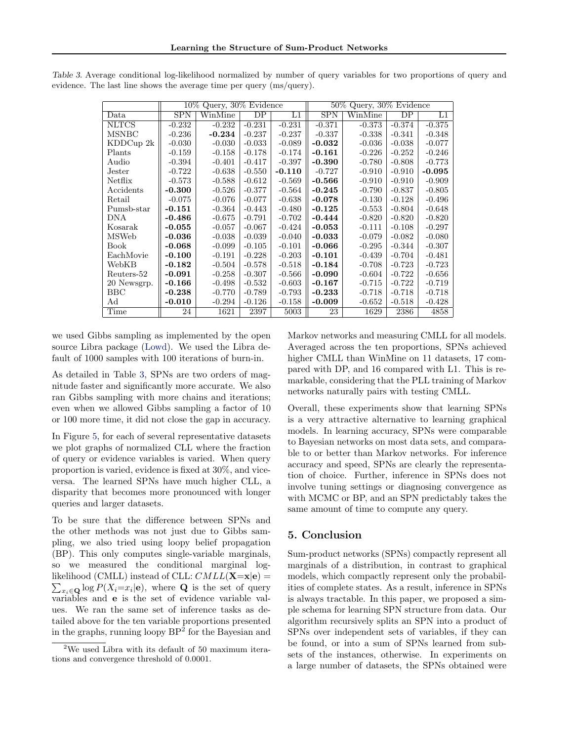|                |            | $10\%$ Query, $30\%$ Evidence |                        |             |            | 50% Query, 30% Evidence |          |          |  |
|----------------|------------|-------------------------------|------------------------|-------------|------------|-------------------------|----------|----------|--|
| Data           | <b>SPN</b> | WinMine                       | $\overline{\text{DP}}$ | $_{\rm L1}$ | <b>SPN</b> | WinMine                 | DP       | L1       |  |
| <b>NLTCS</b>   | $-0.232$   | $-0.232$                      | $-0.231$               | $-0.231$    | $-0.371$   | $-0.373$                | $-0.374$ | $-0.375$ |  |
| <b>MSNBC</b>   | $-0.236$   | $-0.234$                      | $-0.237$               | $-0.237$    | $-0.337$   | $-0.338$                | $-0.341$ | $-0.348$ |  |
| $KDDC$ up $2k$ | $-0.030$   | $-0.030$                      | $-0.033$               | $-0.089$    | $-0.032$   | $-0.036$                | $-0.038$ | $-0.077$ |  |
| Plants         | $-0.159$   | $-0.158$                      | $-0.178$               | $-0.174$    | $-0.161$   | $-0.226$                | $-0.252$ | $-0.246$ |  |
| Audio          | $-0.394$   | $-0.401$                      | $-0.417$               | $-0.397$    | $-0.390$   | $-0.780$                | $-0.808$ | $-0.773$ |  |
| Jester         | $-0.722$   | $-0.638$                      | $-0.550$               | $-0.110$    | $-0.727$   | $-0.910$                | $-0.910$ | $-0.095$ |  |
| Netflix        | $-0.573$   | $-0.588$                      | $-0.612$               | $-0.569$    | $-0.566$   | $-0.910$                | $-0.910$ | $-0.909$ |  |
| Accidents      | $-0.300$   | $-0.526$                      | $-0.377$               | $-0.564$    | $-0.245$   | $-0.790$                | $-0.837$ | $-0.805$ |  |
| Retail         | $-0.075$   | $-0.076$                      | $-0.077$               | $-0.638$    | $-0.078$   | $-0.130$                | $-0.128$ | $-0.496$ |  |
| Pumsb-star     | $-0.151$   | $-0.364$                      | $-0.443$               | $-0.480$    | $-0.125$   | $-0.553$                | $-0.804$ | $-0.648$ |  |
| DNA            | -0.486     | $-0.675$                      | $-0.791$               | $-0.702$    | -0.444     | $-0.820$                | $-0.820$ | $-0.820$ |  |
| Kosarak        | $-0.055$   | $-0.057$                      | $-0.067$               | $-0.424$    | $-0.053$   | $-0.111$                | $-0.108$ | $-0.297$ |  |
| <b>MSWeb</b>   | $-0.036$   | $-0.038$                      | $-0.039$               | $-0.040$    | $-0.033$   | $-0.079$                | $-0.082$ | $-0.080$ |  |
| Book           | $-0.068$   | $-0.099$                      | $-0.105$               | $-0.101$    | $-0.066$   | $-0.295$                | $-0.344$ | $-0.307$ |  |
| EachMovie      | $-0.100$   | $-0.191$                      | $-0.228$               | $-0.203$    | $-0.101$   | $-0.439$                | $-0.704$ | $-0.481$ |  |
| WebKB          | $-0.182$   | $-0.504$                      | $-0.578$               | $-0.518$    | $-0.184$   | $-0.708$                | $-0.723$ | $-0.723$ |  |
| Reuters-52     | $-0.091$   | $-0.258$                      | $-0.307$               | $-0.566$    | $-0.090$   | $-0.604$                | $-0.722$ | $-0.656$ |  |
| 20 Newsgrp.    | $-0.166$   | $-0.498$                      | $-0.532$               | $-0.603$    | $-0.167$   | $-0.715$                | $-0.722$ | $-0.719$ |  |
| BBC            | $-0.238$   | $-0.770$                      | $-0.789$               | $-0.793$    | $-0.233$   | $-0.718$                | $-0.718$ | $-0.718$ |  |
| Ad             | $-0.010$   | $-0.294$                      | $-0.126$               | $-0.158$    | $-0.009$   | $-0.652$                | $-0.518$ | $-0.428$ |  |
| Time           | 24         | 1621                          | 2397                   | 5003        | 23         | 1629                    | 2386     | 4858     |  |

Table 3. Average conditional log-likelihood normalized by number of query variables for two proportions of query and evidence. The last line shows the average time per query (ms/query).

we used Gibbs sampling as implemented by the open source Libra package [\(Lowd\)](#page-6-0). We used the Libra default of 1000 samples with 100 iterations of burn-in.

As detailed in Table 3, SPNs are two orders of magnitude faster and significantly more accurate. We also ran Gibbs sampling with more chains and iterations; even when we allowed Gibbs sampling a factor of 10 or 100 more time, it did not close the gap in accuracy.

In Figure [5,](#page-6-0) for each of several representative datasets we plot graphs of normalized CLL where the fraction of query or evidence variables is varied. When query proportion is varied, evidence is fixed at 30%, and viceversa. The learned SPNs have much higher CLL, a disparity that becomes more pronounced with longer queries and larger datasets.

To be sure that the difference between SPNs and the other methods was not just due to Gibbs sampling, we also tried using loopy belief propagation (BP). This only computes single-variable marginals, so we measured the conditional marginal loglikelihood (CMLL) instead of CLL:  $CMLL(\mathbf{X}=\mathbf{x}|\mathbf{e})=$  $\sum_{x_i\in\mathbf{Q}}\log P(X_i=x_i|\mathbf{e}),$  where **Q** is the set of query variables and e is the set of evidence variable values. We ran the same set of inference tasks as detailed above for the ten variable proportions presented in the graphs, running loopy BP[2](#page-0-0) for the Bayesian and Markov networks and measuring CMLL for all models. Averaged across the ten proportions, SPNs achieved higher CMLL than WinMine on 11 datasets, 17 compared with DP, and 16 compared with L1. This is remarkable, considering that the PLL training of Markov networks naturally pairs with testing CMLL.

Overall, these experiments show that learning SPNs is a very attractive alternative to learning graphical models. In learning accuracy, SPNs were comparable to Bayesian networks on most data sets, and comparable to or better than Markov networks. For inference accuracy and speed, SPNs are clearly the representation of choice. Further, inference in SPNs does not involve tuning settings or diagnosing convergence as with MCMC or BP, and an SPN predictably takes the same amount of time to compute any query.

# 5. Conclusion

Sum-product networks (SPNs) compactly represent all marginals of a distribution, in contrast to graphical models, which compactly represent only the probabilities of complete states. As a result, inference in SPNs is always tractable. In this paper, we proposed a simple schema for learning SPN structure from data. Our algorithm recursively splits an SPN into a product of SPNs over independent sets of variables, if they can be found, or into a sum of SPNs learned from subsets of the instances, otherwise. In experiments on a large number of datasets, the SPNs obtained were

 $2$ We used Libra with its default of 50 maximum iterations and convergence threshold of 0.0001.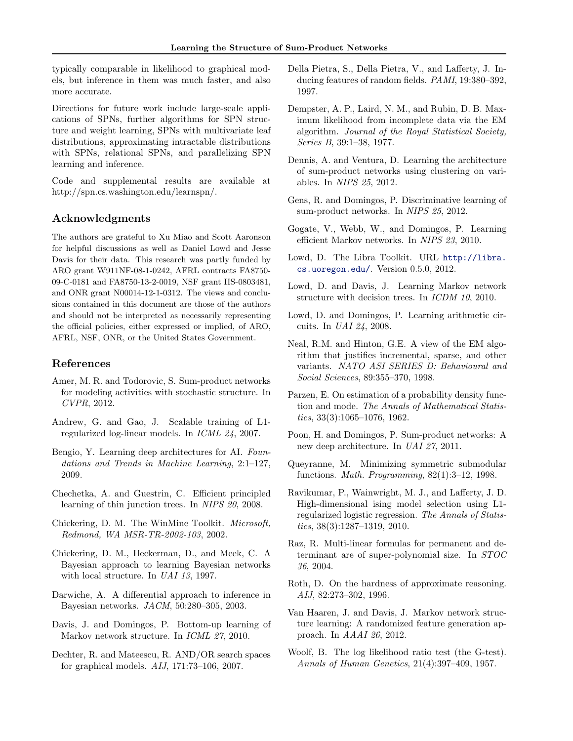<span id="page-6-0"></span>typically comparable in likelihood to graphical models, but inference in them was much faster, and also more accurate.

Directions for future work include large-scale applications of SPNs, further algorithms for SPN structure and weight learning, SPNs with multivariate leaf distributions, approximating intractable distributions with SPNs, relational SPNs, and parallelizing SPN learning and inference.

Code and supplemental results are available at http://spn.cs.washington.edu/learnspn/.

# Acknowledgments

The authors are grateful to Xu Miao and Scott Aaronson for helpful discussions as well as Daniel Lowd and Jesse Davis for their data. This research was partly funded by ARO grant W911NF-08-1-0242, AFRL contracts FA8750- 09-C-0181 and FA8750-13-2-0019, NSF grant IIS-0803481, and ONR grant N00014-12-1-0312. The views and conclusions contained in this document are those of the authors and should not be interpreted as necessarily representing the official policies, either expressed or implied, of ARO, AFRL, NSF, ONR, or the United States Government.

# References

- Amer, M. R. and Todorovic, S. Sum-product networks for modeling activities with stochastic structure. In CVPR, 2012.
- Andrew, G. and Gao, J. Scalable training of L1 regularized log-linear models. In ICML 24, 2007.
- Bengio, Y. Learning deep architectures for AI. Foundations and Trends in Machine Learning, 2:1–127, 2009.
- Chechetka, A. and Guestrin, C. Efficient principled learning of thin junction trees. In NIPS 20, 2008.
- Chickering, D. M. The WinMine Toolkit. Microsoft, Redmond, WA MSR-TR-2002-103, 2002.
- Chickering, D. M., Heckerman, D., and Meek, C. A Bayesian approach to learning Bayesian networks with local structure. In UAI 13, 1997.
- Darwiche, A. A differential approach to inference in Bayesian networks. JACM, 50:280–305, 2003.
- Davis, J. and Domingos, P. Bottom-up learning of Markov network structure. In *ICML 27*, 2010.
- Dechter, R. and Mateescu, R. AND/OR search spaces for graphical models. AIJ, 171:73–106, 2007.
- Della Pietra, S., Della Pietra, V., and Lafferty, J. Inducing features of random fields. PAMI, 19:380–392, 1997.
- Dempster, A. P., Laird, N. M., and Rubin, D. B. Maximum likelihood from incomplete data via the EM algorithm. Journal of the Royal Statistical Society, Series B, 39:1–38, 1977.
- Dennis, A. and Ventura, D. Learning the architecture of sum-product networks using clustering on variables. In NIPS 25, 2012.
- Gens, R. and Domingos, P. Discriminative learning of sum-product networks. In NIPS 25, 2012.
- Gogate, V., Webb, W., and Domingos, P. Learning efficient Markov networks. In NIPS 23, 2010.
- Lowd, D. The Libra Toolkit. URL [http://libra.](http://libra.cs.uoregon.edu/) [cs.uoregon.edu/](http://libra.cs.uoregon.edu/). Version 0.5.0, 2012.
- Lowd, D. and Davis, J. Learning Markov network structure with decision trees. In ICDM 10, 2010.
- Lowd, D. and Domingos, P. Learning arithmetic circuits. In UAI 24, 2008.
- Neal, R.M. and Hinton, G.E. A view of the EM algorithm that justifies incremental, sparse, and other variants. NATO ASI SERIES D: Behavioural and Social Sciences, 89:355–370, 1998.
- Parzen, E. On estimation of a probability density function and mode. The Annals of Mathematical Statistics, 33(3):1065–1076, 1962.
- Poon, H. and Domingos, P. Sum-product networks: A new deep architecture. In UAI 27, 2011.
- Queyranne, M. Minimizing symmetric submodular functions. Math. Programming, 82(1):3–12, 1998.
- Ravikumar, P., Wainwright, M. J., and Lafferty, J. D. High-dimensional ising model selection using L1 regularized logistic regression. The Annals of Statistics, 38(3):1287–1319, 2010.
- Raz, R. Multi-linear formulas for permanent and determinant are of super-polynomial size. In STOC 36, 2004.
- Roth, D. On the hardness of approximate reasoning. AIJ, 82:273–302, 1996.
- Van Haaren, J. and Davis, J. Markov network structure learning: A randomized feature generation approach. In AAAI 26, 2012.
- Woolf, B. The log likelihood ratio test (the G-test). Annals of Human Genetics, 21(4):397–409, 1957.